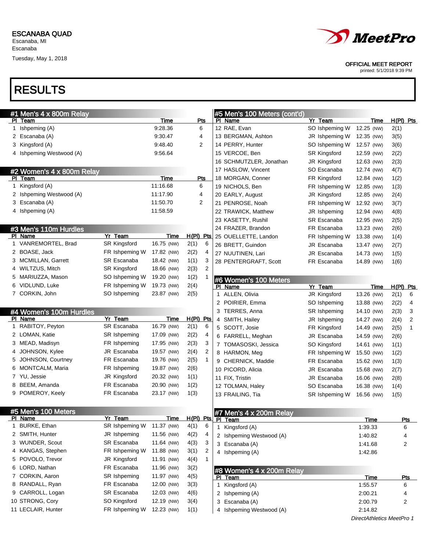Escanaba, MI Escanaba

Tuesday, May 1, 2018



OFFICIAL MEET REPORT

printed: 5/1/2018 9:39 PM

|    | #1 Men's 4 x 800m Relay   |                     |             |             |     |   | #5 Men's 100 Meters (cont'd)              |                |                           |                        |
|----|---------------------------|---------------------|-------------|-------------|-----|---|-------------------------------------------|----------------|---------------------------|------------------------|
|    | PI Team                   |                     | Time        |             | Pts |   | PI Name                                   | Yr Team        | Time                      | $H(PI)$ Pts            |
|    | 1 Ishpeming (A)           |                     | 9:28.36     | 6           |     |   | 12 RAE, Evan                              | SO Ishpeming W | 12.25 (NW)                | 2(1)                   |
|    | 2 Escanaba (A)            |                     | 9:30.47     | 4           |     |   | 13 BERGMAN, Ashton                        | JR Ishpeming W | 12.35 (NW)                | 3(5)                   |
| 3  | Kingsford (A)             |                     | 9:48.40     |             | 2   |   | 14 PERRY, Hunter                          | SO Ishpeming W | 12.57 (NW)                | 3(6)                   |
|    | 4 Ishpeming Westwood (A)  |                     | 9:56.64     |             |     |   | 15 VERCOE, Ben                            | SR Kingsford   | 12.59 (NW)                | 2(2)                   |
|    |                           |                     |             |             |     |   | 16 SCHMUTZLER, Jonathan                   | JR Kingsford   | 12.63 (NW)                | 2(3)                   |
|    | #2 Women's 4 x 800m Relay |                     |             |             |     |   | 17 HASLOW, Vincent                        | SO Escanaba    | 12.74 (NW)                | 4(7)                   |
|    | PI Team                   |                     | Time        | Pts         |     |   | 18 MORGAN, Conner                         | FR Kingsford   | 12.84 (NW)                | 1(2)                   |
|    | 1 Kingsford (A)           |                     | 11:16.68    | 6           |     |   | 19 NICHOLS, Ben                           | FR Ishpeming W | 12.85 (NW)                | 1(3)                   |
|    | 2 Ishpeming Westwood (A)  |                     | 11:17.90    |             | 4   |   | 20 EARLY, August                          | JR Kingsford   | 12.85 (NW)                | 2(4)                   |
| 3  | Escanaba (A)              |                     | 11:50.70    | 2           |     |   | 21 PENROSE, Noah                          | FR Ishpeming W | 12.92 (NW)                | 3(7)                   |
|    | 4 Ishpeming (A)           |                     | 11:58.59    |             |     |   | 22 TRAWICK, Matthew                       | JR Ishpeming   | 12.94 (NW)                | 4(8)                   |
|    |                           |                     |             |             |     |   | 23 KASETTY, Rushil                        | SR Escanaba    | 12.95 (NW)                | 2(5)                   |
|    | #3 Men's 110m Hurdles     |                     |             |             |     |   | 24 FRAZER, Brandon                        | FR Escanaba    | 13.23 (NW)                | 2(6)                   |
|    | PI Name                   | Yr Team             | Time        | $H(PI)$ Pts |     |   | 25 OUELLETTE, Landon                      | FR Ishpeming W | 13.38 (NW)                | 1(4)                   |
|    | 1 VANREMORTEL, Brad       | <b>SR Kingsford</b> | 16.75 (NW)  | 2(1)        | 6   |   | 26 BRETT, Guindon                         | JR Escanaba    | 13.47 (NW)                | 2(7)                   |
|    | 2 BOASE, Jack             | FR Ishpeming W      | 17.82 (NW)  | 2(2)        | 4   |   | 27 NUUTINEN, Lari                         | JR Escanaba    | 14.73 (NW)                | 1(5)                   |
|    | 3 MCMILLAN, Garrett       | SR Escanaba         | 18.42 (NW)  | 1(1)        | 3   |   | 28 PENTERGRAFT, Scott                     | FR Escanaba    | 14.89 (NW)                | 1(6)                   |
|    | 4 WILTZUS, Mitch          | <b>SR Kingsford</b> | 18.66 (NW)  | 2(3)        | 2   |   |                                           |                |                           |                        |
| 5. | MARIUZZA, Mason           | SO Ishpeming W      | 19.20 (NW)  | 1(2)        | 1   |   |                                           |                |                           |                        |
|    | 6 VIDLUND, Luke           | FR Ishpeming W      | 19.73 (NW)  | 2(4)        |     |   | #6 Women's 100 Meters<br>PI Name          | Yr Team        | Time                      | H(PI)<br><u>Pts</u>    |
|    | 7 CORKIN, John            | SO Ishpeming        | 23.87 (NW)  | 2(5)        |     |   | 1 ALLEN, Olivia                           | JR Kingsford   | 13.26 (NW)                | 2(1)<br>6              |
|    |                           |                     |             |             |     |   | 2 POIRIER, Emma                           | SO Ishpeming   | 13.88 (NW)                | 2(2)<br>4              |
|    | #4 Women's 100m Hurdles   |                     |             |             |     |   | 3 TERRES, Anna                            | SR Ishpeming   | 14.10 (NW)                | 2(3)<br>3              |
|    | PI Name                   | Yr Team             | Time        | $H(PI)$ Pts |     |   | 4 SMITH, Hailey                           | JR Ishpeming   | 14.27 (NW)                | 2(4)<br>$\overline{2}$ |
| 1. | RABITOY, Peyton           | SR Escanaba         | 16.79 (NW)  | 2(1)        | 6   |   | 5 SCOTT, Josie                            | FR Kingsford   | 14.49 (NW)                | 2(5)<br>1              |
|    | 2 LOMAN, Katie            | SR Ishpeming        | 17.09 (NW)  | 2(2)        | 4   |   | 6 FARRELL, Meghan                         | JR Escanaba    | 14.59 (NW)                | 2(6)                   |
|    | 3 MEAD, Madisyn           | FR Ishpeming        | 17.95 (NW)  | 2(3)        | 3   |   | 7 TOMASOSKI, Jessica                      | SO Kingsford   | 14.61 (NW)                | 1(1)                   |
| 4  | JOHNSON, Kylee            | JR Escanaba         | 19.57 (NW)  | 2(4)        | 2   |   | 8 HARMON, Meg                             | FR Ishpeming W | 15.50 (NW)                | 1(2)                   |
| 5  | JOHNSON, Courtney         | FR Escanaba         | 19.76 (NW)  | 2(5)        | 1   |   | 9 CHERNICK, Maddie                        | FR Escanaba    | 15.62 (NW)                | 1(3)                   |
| 6  | MONTCALM, Maria           | FR Ishpeming        | 19.87 (NW)  | 2(6)        |     |   | 10 PICORD, Alicia                         | JR Escanaba    | 15.68 (NW)                | 2(7)                   |
|    | 7 YU, Jessie              | JR Kingsford        | 20.32 (NW)  | 1(1)        |     |   | 11 FIX, Tristin                           | JR Escanaba    | 16.06 (NW)                | 2(8)                   |
| 8  | BEEM, Amanda              | FR Escanaba         | 20.90 (NW)  | 1(2)        |     |   | 12 TOLMAN, Haley                          | SO Escanaba    | 16.38 (NW)                | 1(4)                   |
|    | 9 POMEROY, Keely          | FR Escanaba         | 23.17 (NW)  | 1(3)        |     |   | 13 FRAILING, Tia                          | SR Ishpeming W | 16.56 (NW)                | 1(5)                   |
|    |                           |                     |             |             |     |   |                                           |                |                           |                        |
|    | #5 Men's 100 Meters       |                     |             |             |     |   |                                           |                |                           |                        |
|    | PI Name                   | Yr Team             | <b>Time</b> | H(PI) Pts   |     |   | #7 Men's 4 x 200m Relay<br><u>PI leam</u> |                | <u>Time</u>               | <u>rts</u>             |
|    | 1 BURKE, Ethan            | SR Ishpeming W      | 11.37 (NW)  | 4(1)        | 6   | 1 | Kingsford (A)                             |                | 1:39.33                   | 6                      |
|    | 2 SMITH, Hunter           | JR Ishpeming        | 11.56 (NW)  | 4(2)        | 4   |   | 2 Ishpeming Westwood (A)                  |                | 1:40.82                   | 4                      |
|    | 3 WUNDER, Scout           | SR Escanaba         | 11.64 (NW)  | 4(3)        | 3   |   | 3 Escanaba (A)                            |                | 1:41.68                   | 2                      |
|    | 4 KANGAS, Stephen         | FR Ishpeming W      | 11.88 (NW)  | 3(1)        | 2   |   | 4 Ishpeming (A)                           |                | 1:42.86                   |                        |
|    | 5 POVOLO, Trevor          | JR Kingsford        | 11.91 (NW)  | 4(4)        | 1   |   |                                           |                |                           |                        |
|    | 6 LORD, Nathan            | FR Escanaba         | 11.96 (NW)  | 3(2)        |     |   |                                           |                |                           |                        |
|    | 7 CORKIN, Aaron           | SR Ishpeming        | 11.97 (NW)  | 4(5)        |     |   | #8 Women's 4 x 200m Relay<br>PI Team      |                | <u>Time</u>               | <u>Pts</u>             |
|    | 8 RANDALL, Ryan           | FR Escanaba         | 12.00 (NW)  | 3(3)        |     | 1 | Kingsford (A)                             |                | 1:55.57                   | 6                      |
|    | 9 CARROLL, Logan          | SR Escanaba         | 12.03 (NW)  | 4(6)        |     |   | 2 Ishpeming (A)                           |                | 2:00.21                   | 4                      |
|    | 10 STRONG, Cory           | SO Kingsford        | 12.19 (NW)  | 3(4)        |     |   | 3 Escanaba (A)                            |                | 2:00.79                   | 2                      |
|    | 11 LECLAIR, Hunter        | FR Ishpeming W      | 12.23 (NW)  | 1(1)        |     |   | 4 Ishpeming Westwood (A)                  |                | 2:14.82                   |                        |
|    |                           |                     |             |             |     |   |                                           |                | DirectAthletics MeetPro 1 |                        |
|    |                           |                     |             |             |     |   |                                           |                |                           |                        |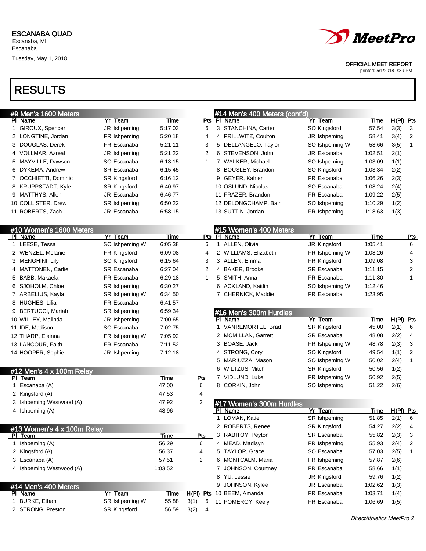Tuesday, May 1, 2018



### OFFICIAL MEET REPORT

printed: 5/1/2018 9:39 PM

| #9 Men's 1600 Meters |                            |                           |             |                          |   | #14 Men's 400 Meters (cont'd)        |                            |                    |              |                |
|----------------------|----------------------------|---------------------------|-------------|--------------------------|---|--------------------------------------|----------------------------|--------------------|--------------|----------------|
|                      | PI Name                    | Yr Team                   | Time        | Pts                      |   | PI Name                              | Yr Team                    | Time               | $H(PI)$ Pts  |                |
|                      | 1 GIROUX, Spencer          | JR Ishpeming              | 5:17.03     | 6                        |   | 3 STANCHINA, Carter                  | SO Kingsford               | 57.54              | 3(3)         | 3              |
|                      | 2 LONGTINE, Jordan         | FR Ishpeming              | 5:20.18     | 4                        |   | 4 PRILLWITZ, Coulton                 | JR Ishpeming               | 58.41              | 3(4)         | 2              |
|                      | 3 DOUGLAS, Derek           | FR Escanaba               | 5:21.11     | 3                        |   | 5 DELLANGELO, Taylor                 | SO Ishpeming W             | 58.66              | 3(5)         | $\mathbf{1}$   |
|                      | 4 VOLLMAR, Azreal          | JR Ishpeming              | 5:21.22     | 2                        |   | 6 STEVENSON, John                    | JR Escanaba                | 1:02.51            | 2(1)         |                |
|                      | 5 MAYVILLE, Dawson         | SO Escanaba               | 6:13.15     | $\mathbf{1}$             |   | 7 WALKER, Michael                    | SO Ishpeming               | 1:03.09            | 1(1)         |                |
|                      | 6 DYKEMA, Andrew           | SR Escanaba               | 6:15.45     |                          |   | 8 BOUSLEY, Brandon                   | SO Kingsford               | 1:03.34            | 2(2)         |                |
|                      | 7 OCCHIETTI, Dominic       | SR Kingsford              | 6:16.12     |                          | 9 | GEYER, Kahler                        | FR Escanaba                | 1:06.26            | 2(3)         |                |
|                      | 8 KRUPPSTADT, Kyle         | <b>SR Kingsford</b>       | 6:40.97     |                          |   | 10 OSLUND, Nicolas                   | SO Escanaba                | 1:08.24            | 2(4)         |                |
|                      | 9 MATTHYS, Allen           | JR Escanaba               | 6:46.77     |                          |   | 11 FRAZER, Brandon                   | FR Escanaba                | 1:09.22            | 2(5)         |                |
|                      | 10 COLLISTER, Drew         | SR Ishpeming              | 6:50.22     |                          |   | 12 DELONGCHAMP, Bain                 | SO Ishpeming               | 1:10.29            | 1(2)         |                |
|                      | 11 ROBERTS, Zach           | JR Escanaba               | 6:58.15     |                          |   | 13 SUTTIN, Jordan                    | FR Ishpeming               | 1:18.63            | 1(3)         |                |
|                      |                            |                           |             |                          |   |                                      |                            |                    |              |                |
|                      | #10 Women's 1600 Meters    |                           |             |                          |   | #15 Women's 400 Meters               |                            |                    |              |                |
|                      | PI Name                    | Yr Team                   | Time        | Pts                      |   | PI Name                              | Yr Team                    | Time               |              | <u>Pts</u>     |
|                      | 1 LEESE, Tessa             | SO Ishpeming W            | 6:05.38     | 6                        |   | 1 ALLEN, Olivia                      | JR Kingsford               | 1:05.41            |              | 6              |
|                      | 2 WENZEL, Melanie          | FR Kingsford              | 6:09.08     | 4                        |   | 2 WILLIAMS, Elizabeth                | FR Ishpeming W             | 1:08.26            |              | 4              |
|                      | 3 MENGHINI, Lily           | SO Kingsford              | 6:15.64     | 3                        |   | 3 ALLEN, Emma                        | FR Kingsford               | 1:09.08            |              | 3              |
|                      | 4 MATTONEN, Carlie         | SR Escanaba               | 6:27.04     | 2                        |   | 4 BAKER, Brooke                      | SR Escanaba                | 1:11.15            |              | $\overline{2}$ |
|                      | 5 BABB, Makaela            | FR Escanaba               | 6:29.18     | 1                        |   | 5 SMITH, Anna                        | FR Escanaba                | 1:11.80            |              | 1              |
|                      | 6 SJOHOLM, Chloe           | SR Ishpeming              | 6:30.27     |                          | 6 | <b>ACKLAND, Kaitlin</b>              | SO Ishpeming W             | 1:12.46            |              |                |
|                      | 7 ARBELIUS, Kayla          | SR Ishpeming W            | 6:34.50     |                          |   | 7 CHERNICK, Maddie                   | FR Escanaba                | 1:23.95            |              |                |
|                      | 8 HUGHES, Lilia            | FR Escanaba               | 6:41.57     |                          |   |                                      |                            |                    |              |                |
|                      | 9 BERTUCCI, Mariah         | SR Ishpeming              | 6:59.34     |                          |   | #16 Men's 300m Hurdles               |                            |                    |              |                |
|                      | 10 WILLEY, Malinda         | JR Ishpeming              | 7:00.65     |                          |   | PI Name                              | Yr Team                    | Time               | H(PI) Pts    |                |
|                      |                            |                           |             |                          |   |                                      |                            |                    |              |                |
|                      | 11 IDE, Madison            | SO Escanaba               | 7:02.75     |                          |   | 1 VANREMORTEL, Brad                  | SR Kingsford               | 45.00              | 2(1)         | 6              |
|                      | 12 THARP, Elainna          | FR Ishpeming W            | 7:05.92     |                          |   | 2 MCMILLAN, Garrett                  | SR Escanaba                | 48.08              | 2(2)         | 4              |
|                      | 13 LANCOUR, Faith          | FR Escanaba               | 7:11.52     |                          |   | 3 BOASE, Jack                        | FR Ishpeming W             | 48.78              | 2(3)         | 3              |
|                      | 14 HOOPER, Sophie          | JR Ishpeming              | 7:12.18     |                          |   | 4 STRONG, Cory                       | SO Kingsford               | 49.54              | 1(1)         | $\overline{2}$ |
|                      |                            |                           |             |                          | 5 | MARIUZZA, Mason                      | SO Ishpeming W             | 50.02              | 2(4)         | $\mathbf{1}$   |
|                      | #12 Men's 4 x 100m Relay   |                           |             |                          | 6 | WILTZUS, Mitch                       | <b>SR Kingsford</b>        | 50.56              | 1(2)         |                |
|                      | PI Team                    |                           | Time        | Pts                      |   | 7 VIDLUND, Luke                      | FR Ishpeming W             | 50.92              | 2(5)         |                |
|                      | 1 Escanaba (A)             |                           | 47.00       | 6                        |   | 8 CORKIN, John                       | SO Ishpeming               | 51.22              | 2(6)         |                |
|                      | 2 Kingsford (A)            |                           | 47.53       | 4                        |   |                                      |                            |                    |              |                |
| 3                    | Ishpeming Westwood (A)     |                           | 47.92       | $\overline{2}$           |   | #17 Women's 300m Hurdles             |                            |                    |              |                |
|                      | 4 Ishpeming (A)            |                           | 48.96       |                          |   | PI Name                              | Yr Team                    | <u>Time</u>        | $H(PI)$ Pts  |                |
|                      |                            |                           |             |                          |   | 1 LOMAN, Katie                       | SR Ishpeming               | 51.85              | 2(1)         | 6              |
|                      | #13 Women's 4 x 100m Relay |                           |             |                          |   | 2 ROBERTS, Renee                     | <b>SR Kingsford</b>        | 54.27              | 2(2)         | 4              |
|                      | PI Team                    |                           | <b>Time</b> | <u>Pts</u>               |   | 3 RABITOY, Peyton                    | SR Escanaba                | 55.82              | 2(3)         | 3              |
|                      | 1 Ishpeming (A)            |                           | 56.29       | 6                        |   | 4 MEAD, Madisyn                      | FR Ishpeming               | 55.93              | 2(4)         | 2              |
|                      | 2 Kingsford (A)            |                           | 56.37       | 4                        |   | 5 TAYLOR, Grace                      | SO Escanaba                | 57.03              | 2(5)         | $\mathbf 1$    |
|                      | 3 Escanaba (A)             |                           | 57.51       | 2                        |   | 6 MONTCALM, Maria                    | FR Ishpeming               | 57.87              | 2(6)         |                |
|                      | 4 Ishpeming Westwood (A)   |                           | 1:03.52     |                          | 7 | JOHNSON, Courtney                    | FR Escanaba                | 58.66              | 1(1)         |                |
|                      |                            |                           |             |                          |   | 8 YU, Jessie                         | JR Kingsford               | 59.76              | 1(2)         |                |
|                      | #14 Men's 400 Meters       |                           | <u>Time</u> |                          | 9 | JOHNSON, Kylee                       | JR Escanaba<br>FR Escanaba | 1:02.62            | 1(3)         |                |
|                      | PI Name<br>1 BURKE, Ethan  | Yr Team<br>SR Ishpeming W | 55.88       | $H(PI)$ Pts<br>3(1)<br>6 |   | 10 BEEM, Amanda<br>11 POMEROY, Keely | FR Escanaba                | 1:03.71<br>1:06.69 | 1(4)<br>1(5) |                |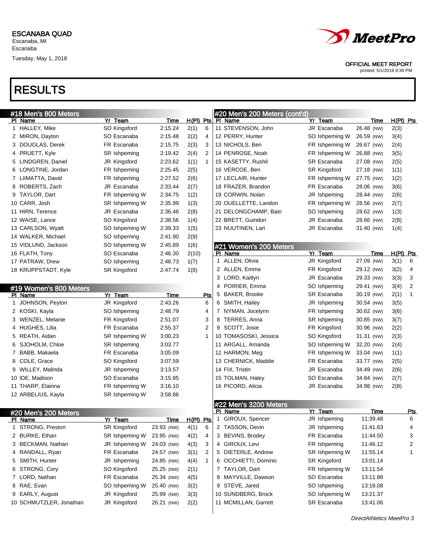Tuesday, May 1, 2018



#### OFFICIAL MEET REPORT

printed: 5/1/2018 9:39 PM

| #18 Men's 800 Meters    |                     |            |             |     |              | #20 Men's 200 Meters (cont'd) |                     |             |           |            |
|-------------------------|---------------------|------------|-------------|-----|--------------|-------------------------------|---------------------|-------------|-----------|------------|
| PI Name                 | Yr Team             | Time       | $H(PI)$ Pts |     |              | PI Name                       | Yr Team             | <u>Time</u> | H(PI) Pts |            |
| 1 HALLEY, Mike          | SO Kingsford        | 2:15.24    | 2(1)        | 6   |              | 11 STEVENSON, John            | JR Escanaba         | 26.48 (NW)  | 2(3)      |            |
| 2 MIRON, Dayton         | SO Escanaba         | 2:15.48    | 2(2)        | 4   |              | 12 PERRY, Hunter              | SO Ishpeming W      | 26.59 (NW)  | 3(4)      |            |
| 3 DOUGLAS, Derek        | FR Escanaba         | 2:15.75    | 2(3)        | 3   |              | 13 NICHOLS, Ben               | FR Ishpeming W      | 26.67 (NW)  | 2(4)      |            |
| 4 PRUETT, Kyle          | SR Ishpeming        | 2:19.42    | 2(4)        | 2   |              | 14 PENROSE, Noah              | FR Ishpeming W      | 26.88 (NW)  | 3(5)      |            |
| 5 LINDGREN, Daniel      | JR Kingsford        | 2:23.62    | 1(1)        | 1   |              | 15 KASETTY, Rushil            | SR Escanaba         | 27.08 (NW)  | 2(5)      |            |
| 6 LONGTINE, Jordan      | FR Ishpeming        | 2:25.45    | 2(5)        |     |              | 16 VERCOE, Ben                | SR Kingsford        | 27.18 (NW)  | 1(1)      |            |
| 7 LIIMATTA, David       | FR Ishpeming        | 2:27.52    | 2(6)        |     |              | 17 LECLAIR, Hunter            | FR Ishpeming W      | 27.75 (NW)  | 1(2)      |            |
| 8 ROBERTS, Zach         | JR Escanaba         | 2:33.44    | 2(7)        |     |              | 18 FRAZER, Brandon            | FR Escanaba         | 28.06 (NW)  | 3(6)      |            |
| 9 TAYLOR, Dart          | FR Ishpeming W      | 2:34.75    | 1(2)        |     |              | 19 CORWIN, Nolan              | JR Ishpeming        | 28.44 (NW)  | 2(6)      |            |
| 10 CARR, Josh           | SR Ishpeming W      | 2:35.99    | 1(3)        |     |              | 20 OUELLETTE, Landon          | FR Ishpeming W      | 28.56 (NW)  | 2(7)      |            |
| 11 HIRN, Terence        | JR Escanaba         | 2:36.46    | 2(8)        |     |              | 21 DELONGCHAMP, Bain          | SO Ishpeming        | 28.62 (NW)  | 1(3)      |            |
| 12 WAISE, Lance         | SO Kingsford        | 2:38.56    | 1(4)        |     |              | 22 BRETT, Guindon             | JR Escanaba         | 28.66 (NW)  | 2(8)      |            |
| 13 CARLSON, Wyatt       | SO Ishpeming W      | 2:39.33    | 1(5)        |     |              | 23 NUUTINEN, Lari             | JR Escanaba         | 31.40 (NW)  | 1(4)      |            |
| 14 WALKER, Michael      | SO Ishpeming        | 2:41.90    | 2(9)        |     |              |                               |                     |             |           |            |
| 15 VIDLUND, Jackson     | SO Ishpeming W      | 2:45.89    | 1(6)        |     |              | #21 Women's 200 Meters        |                     |             |           |            |
| 16 FLATH, Tony          | SO Escanaba         | 2:46.30    | 2(10)       |     |              | PI Name                       | Yr Team             | Time        | H(PI) Pts |            |
| 17 PATRAW, Drew         | SO Ishpeming        | 2:46.73    | 1(7)        |     |              | 1 ALLEN, Olivia               | JR Kingsford        | 27.09 (NW)  | 3(1)      | 6          |
| 18 KRUPPSTADT, Kyle     | <b>SR Kingsford</b> | 2:47.74    | 1(8)        |     |              | 2 ALLEN, Emma                 | FR Kingsford        | 29.12 (NW)  | 3(2)      | 4          |
|                         |                     |            |             |     |              | 3 LORD, Kaitlyn               | JR Escanaba         | 29.33 (NW)  | 3(3)      | 3          |
| #19 Women's 800 Meters  |                     |            |             |     | 4            | POIRIER, Emma                 | SO Ishpeming        | 29.41 (NW)  | 3(4)      | 2          |
| PI Name                 | Yr Team             | Time       |             | Pts | 5            | <b>BAKER, Brooke</b>          | SR Escanaba         | 30.19 (NW)  | 2(1)      | 1          |
| 1 JOHNSON, Peyton       | JR Kingsford        | 2:43.26    |             | 6   |              | 6 SMITH, Hailey               | JR Ishpeming        | 30.54 (NW)  | 3(5)      |            |
| 2 KOSKI, Kayla          | SO Ishpeming        | 2:48.79    |             | 4   |              | 7 NYMAN, Jocelynn             | FR Ishpeming        | 30.62 (NW)  | 3(6)      |            |
| 3 WENZEL, Melanie       | FR Kingsford        | 2:51.07    |             | 3   |              | 8 TERRES, Anna                | SR Ishpeming        | 30.85 (NW)  | 3(7)      |            |
| 4 HUGHES, Lilia         | FR Escanaba         | 2:55.37    |             | 2   |              | 9 SCOTT, Josie                | FR Kingsford        | 30.96 (NW)  | 2(2)      |            |
| 5 REATH, Aidan          | SR Ishpeming W      | 3:00.23    |             | 1   |              | 10 TOMASOSKI, Jessica         | SO Kingsford        | 31.31 (NW)  | 2(3)      |            |
| 6 SJOHOLM, Chloe        | SR Ishpeming        | 3:03.77    |             |     |              | 11 ARGALL, Amanda             | SO Ishpeming W      | 32.20 (NW)  | 2(4)      |            |
| 7 BABB, Makaela         | FR Escanaba         | 3:05.09    |             |     |              | 12 HARMON, Meg                | FR Ishpeming W      | 33.04 (NW)  | 1(1)      |            |
| 8 COLE, Grace           | SO Kingsford        | 3:07.59    |             |     |              | 13 CHERNICK, Maddie           | FR Escanaba         | 33.77 (NW)  | 2(5)      |            |
| 9 WILLEY, Malinda       | JR Ishpeming        | 3:13.57    |             |     |              | 14 FIX, Tristin               | JR Escanaba         | 34.49 (NW)  | 2(6)      |            |
| 10 IDE, Madison         | SO Escanaba         | 3:15.95    |             |     |              | 15 TOLMAN, Haley              | SO Escanaba         | 34.84 (NW)  | 2(7)      |            |
| 11 THARP, Elainna       | FR Ishpeming W      | 3:16.10    |             |     |              | 16 PICORD, Alicia             | JR Escanaba         | 34.98 (NW)  | 2(8)      |            |
| 12 ARBELIUS, Kayla      | SR Ishpeming W      | 3:58.86    |             |     |              |                               |                     |             |           |            |
|                         |                     |            |             |     |              | #22 Men's 3200 Meters         |                     |             |           |            |
| #20 Men's 200 Meters    |                     |            |             |     |              | PI Name                       | Yr Team             | Time        |           | <u>Pts</u> |
| <u>PI Name</u>          | <u>Yr Team</u>      | Time       | $H(PI)$ Pts |     | $\mathbf{1}$ | GIROUX, Spencer               | JR Ishpeming        | 11:39.48    |           | 6          |
| 1 STRONG, Preston       | <b>SR Kingsford</b> | 23.93 (NW) | 4(1)        | 6   |              | 2 TASSON, Devin               | JR Ishpeming        | 11:41.63    |           | 4          |
| 2 BURKE, Ethan          | SR Ishpeming W      | 23.95 (NW) | 4(2)        | 4   |              | 3 BEVINS, Brodey              | FR Escanaba         | 11:44.50    |           | 3          |
| 3 BECKMAN, Nathan       | JR Ishpeming W      | 24.03 (NW) | 4(3)        | 3   |              | 4 GIROUX, Levi                | FR Ishpeming        | 11:46.12    |           | 2          |
| 4 RANDALL, Ryan         | FR Escanaba         | 24.57 (NW) | 3(1)        | 2   |              | 5 DIETERLE, Andrew            | SR Ishpeming W      | 11:55.14    |           | 1          |
| 5 SMITH, Hunter         | JR Ishpeming        | 24.85 (NW) | 4(4)        | 1   |              | 6 OCCHIETTI, Dominic          | <b>SR Kingsford</b> | 13:01.14    |           |            |
| 6 STRONG, Cory          | SO Kingsford        | 25.25 (NW) | 2(1)        |     |              | 7 TAYLOR, Dart                | FR Ishpeming W      | 13:11.54    |           |            |
| 7 LORD, Nathan          | FR Escanaba         | 25.34 (NW) | 4(5)        |     |              | 8 MAYVILLE, Dawson            | SO Escanaba         | 13:11.88    |           |            |
| 8 RAE, Evan             | SO Ishpeming W      | 25.40 (NW) | 3(2)        |     |              | 9 STEVE, Jared                | SO Ishpeming        | 13:18.08    |           |            |
| 9 EARLY, August         | JR Kingsford        | 25.99 (NW) | 3(3)        |     |              | 10 SUNDBERG, Brock            | SO Ishpeming W      | 13:21.37    |           |            |
| 10 SCHMUTZLER, Jonathan | JR Kingsford        | 26.21 (NW) | 2(2)        |     |              | 11 MCMILLAN, Garrett          | SR Escanaba         | 13:41.06    |           |            |
|                         |                     |            |             |     |              |                               |                     |             |           |            |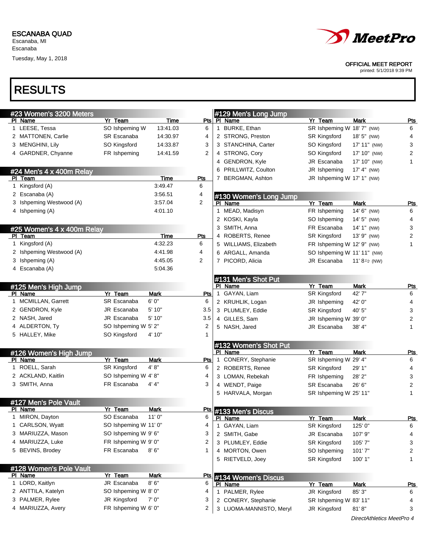Escanaba

Tuesday, May 1, 2018



### OFFICIAL MEET REPORT

printed: 5/1/2018 9:39 PM

| #23 Women's 3200 Meters                |                       |             |                |   | #129 Men's Long Jump              |                             |                           |                |
|----------------------------------------|-----------------------|-------------|----------------|---|-----------------------------------|-----------------------------|---------------------------|----------------|
| PI Name                                | Yr Team               | Time        | Pts            |   | PI Name                           | Yr Team                     | Mark                      | <u>Pts</u>     |
| 1 LEESE, Tessa                         | SO Ishpeming W        | 13:41.03    | 6              | 1 | BURKE, Ethan                      | SR Ishpeming W 18' 7" (NW)  |                           | 6              |
| 2 MATTONEN, Carlie                     | <b>SR Escanaba</b>    | 14:30.97    | 4              |   | 2 STRONG, Preston                 | SR Kingsford                | 18' 5" (NW)               | 4              |
| 3 MENGHINI, Lily                       | SO Kingsford          | 14:33.87    | 3              |   | 3 STANCHINA, Carter               | SO Kingsford                | 17' 11" (NW)              | 3              |
| 4 GARDNER, Chyanne                     | FR Ishpeming          | 14:41.59    | $\overline{2}$ |   | 4 STRONG, Cory                    | SO Kingsford                | 17' 10" (NW)              | 2              |
|                                        |                       |             |                |   | 4 GENDRON, Kyle                   | JR Escanaba                 | 17' 10" (NW)              | $\mathbf{1}$   |
| #24 Men's 4 x 400m Relay               |                       |             |                |   | 6 PRILLWITZ, Coulton              | JR Ishpeming                | 17' 4" (NW)               |                |
| PI Team                                |                       | Time        | <b>Pts</b>     |   | 7 BERGMAN, Ashton                 | JR Ishpeming W 17' 1" (NW)  |                           |                |
| 1 Kingsford (A)                        |                       | 3:49.47     | 6              |   |                                   |                             |                           |                |
| 2 Escanaba (A)                         |                       | 3:56.51     | 4              |   |                                   |                             |                           |                |
| 3 Ishpeming Westwood (A)               |                       | 3:57.04     | $\overline{2}$ |   | #130 Women's Long Jump<br>PI Name | Yr Team                     | <b>Mark</b>               | <u>Pts</u>     |
| 4 Ishpeming (A)                        |                       | 4:01.10     |                | 1 | MEAD, Madisyn                     | FR Ishpeming                | 14' 6" (NW)               | 6              |
|                                        |                       |             |                |   | 2 KOSKI, Kayla                    | SO Ishpeming                | 14' 5" (NW)               | 4              |
|                                        |                       |             |                |   | 3 SMITH, Anna                     | FR Escanaba                 | 14' 1" (NW)               | 3              |
| #25 Women's 4 x 400m Relay<br>PI Team  |                       | Time        | Pts            |   | 4 ROBERTS, Renee                  | <b>SR Kingsford</b>         | 13' 9" (NW)               | $\overline{c}$ |
| 1 Kingsford (A)                        |                       | 4:32.23     | 6              |   | 5 WILLIAMS, Elizabeth             | FR Ishpeming W 12' 9" (NW)  |                           | $\mathbf{1}$   |
| 2 Ishpeming Westwood (A)               |                       | 4:41.98     | 4              |   | 6 ARGALL, Amanda                  | SO Ishpeming W 11' 11" (NW) |                           |                |
| 3 Ishpeming (A)                        |                       | 4:45.05     | 2              |   |                                   |                             |                           |                |
| 4 Escanaba (A)                         |                       | 5.04.36     |                |   | 7 PICORD, Alicia                  | JR Escanaba                 | 11' $8\frac{1}{2}$ (NW)   |                |
|                                        |                       |             |                |   |                                   |                             |                           |                |
|                                        |                       |             |                |   | #131 Men's Shot Put               |                             |                           |                |
| #125 Men's High Jump                   |                       |             |                |   | PI Name                           | Yr Team                     | <b>Mark</b>               | <u>Pts</u>     |
| PI Name                                | Yr Team               | <b>Mark</b> | <u>Pts</u>     |   | 1 GAYAN, Liam                     | <b>SR Kingsford</b>         | 42'7"                     | 6              |
| 1 MCMILLAN, Garrett<br>2 GENDRON, Kyle | <b>SR Escanaba</b>    | 6'0''       | 6              |   | 2 KRUHLIK, Logan                  | JR Ishpeming                | 42' 0"                    | 4              |
|                                        | JR Escanaba           | 5' 10"      | 3.5            |   | 3 PLUMLEY, Eddie                  | <b>SR Kingsford</b>         | 40' 5"                    | 3              |
| 2 NASH, Jared                          | JR Escanaba           | 5' 10"      | 3.5            |   | 4 GILLES, Sam                     | JR Ishpeming W 39' 0"       |                           | $\overline{c}$ |
| 4 ALDERTON, Ty                         | SO Ishpeming W 5' 2"  |             | 2              |   | 5 NASH, Jared                     | JR Escanaba                 | 38' 4"                    | 1              |
| 5 HALLEY, Mike                         | SO Kingsford          | 4' 10"      | 1              |   |                                   |                             |                           |                |
|                                        |                       |             |                |   | #132 Women's Shot Put             |                             |                           |                |
| #126 Women's High Jump                 |                       |             |                |   | PI Name                           | Yr Team                     | Mark                      | <b>Pts</b>     |
| PI Name                                | Yr Team               | <b>Mark</b> | <b>Pts</b>     |   | 1 CONERY, Stephanie               | SR Ishpeming W 29' 4"       |                           | 6              |
| 1 ROELL, Sarah                         | <b>SR Kingsford</b>   | 4' 8''      | 6              |   | 2 ROBERTS, Renee                  | SR Kingsford                | 29' 1"                    | 4              |
| 2 ACKLAND, Kaitlin                     | SO Ishpeming W 4'8"   |             | 4              |   | 3 LOMAN, Rebekah                  | FR Ishpeming                | 28' 2"                    | 3              |
| 3 SMITH, Anna                          | FR Escanaba           | 4' 4"       | 3              |   | 4 WENDT, Paige                    | SR Escanaba                 | 26' 6"                    | $\overline{c}$ |
|                                        |                       |             |                |   | 5 HARVALA, Morgan                 | SR Ishpeming W 25' 11"      |                           | $\mathbf{1}$   |
| #127 Men's Pole Vault                  |                       |             |                |   |                                   |                             |                           |                |
| PI Name                                | Yr Team               | Mark        | <u>Pts</u>     |   | #133 Men's Discus                 |                             |                           |                |
| 1 MIRON, Dayton                        | SO Escanaba           | 11'0''      | 6              |   | PI Name                           | Yr Team                     | Mark                      | <b>Pts</b>     |
| CARLSON, Wyatt<br>1                    | SO Ishpeming W 11' 0" |             | 4              |   | 1 GAYAN, Liam                     | SR Kingsford                | 125' 0"                   | 6              |
| 3 MARIUZZA, Mason                      | SO Ishpeming W 9' 6"  |             | 3              |   | 2 SMITH, Gabe                     | JR Escanaba                 | 107' 9"                   | 4              |
| 4 MARIUZZA, Luke                       | FR Ishpeming W 9' 0"  |             | 2              |   | 3 PLUMLEY, Eddie                  | <b>SR Kingsford</b>         | 105'7"                    | 3              |
| 5 BEVINS, Brodey                       | FR Escanaba           | 8'6''       | 1              |   | 4 MORTON, Owen                    | SO Ishpeming                | 101'7"                    | 2              |
|                                        |                       |             |                |   | 5 RIETVELD, Joey                  | <b>SR Kingsford</b>         | 100' 1"                   | $\mathbf{1}$   |
| #128 Women's Pole Vault                |                       |             |                |   |                                   |                             |                           |                |
| PI Name                                | Yr Team               | <b>Mark</b> | <u>Pts</u>     |   | #134 Women's Discus               |                             |                           |                |
| 1 LORD, Kaitlyn                        | JR Escanaba           | 8'6''       | 6              |   | PI Name                           | Yr Team                     | <b>Mark</b>               | <u>Pts</u>     |
| 2 ANTTILA, Katelyn                     | SO Ishpeming W 8' 0"  |             | 4              |   | 1 PALMER, Rylee                   | JR Kingsford                | 85' 3"                    | 6              |
| 3 PALMER, Rylee                        | JR Kingsford          | 7' 0"       | 3              |   | 2 CONERY, Stephanie               | SR Ishpeming W 83' 11"      |                           | 4              |
| 4 MARIUZZA, Avery                      | FR Ishpeming W 6' 0"  |             | 2              |   | 3 LUOMA-MANNISTO, Meryl           | JR Kingsford                | 81'8"                     | 3              |
|                                        |                       |             |                |   |                                   |                             | DirectAthletics MeetPro 4 |                |